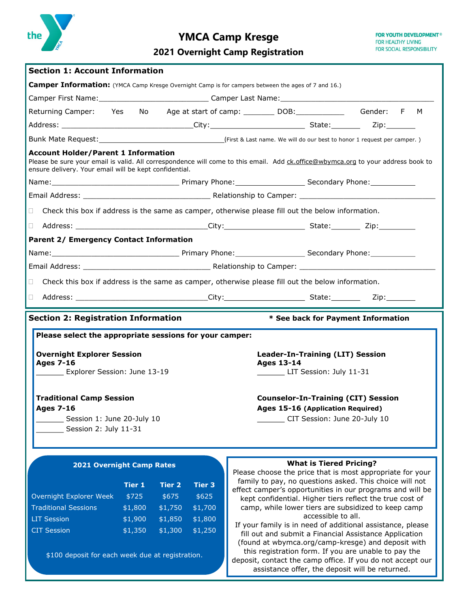

# **YMCA Camp Kresge**

# **2021 Overnight Camp Registration**

| <b>Section 1: Account Information</b>                                                                |                                                                                                                                                                                                                                |                    |                    |                                                                                                                      |                                                                                                                                  |  |  |  |  |
|------------------------------------------------------------------------------------------------------|--------------------------------------------------------------------------------------------------------------------------------------------------------------------------------------------------------------------------------|--------------------|--------------------|----------------------------------------------------------------------------------------------------------------------|----------------------------------------------------------------------------------------------------------------------------------|--|--|--|--|
|                                                                                                      |                                                                                                                                                                                                                                |                    |                    |                                                                                                                      |                                                                                                                                  |  |  |  |  |
|                                                                                                      |                                                                                                                                                                                                                                |                    |                    | Camper Information: (YMCA Camp Kresge Overnight Camp is for campers between the ages of 7 and 16.)                   |                                                                                                                                  |  |  |  |  |
|                                                                                                      |                                                                                                                                                                                                                                |                    |                    |                                                                                                                      |                                                                                                                                  |  |  |  |  |
| Returning Camper: Yes No                                                                             |                                                                                                                                                                                                                                |                    |                    |                                                                                                                      | Gender: F<br>M                                                                                                                   |  |  |  |  |
|                                                                                                      |                                                                                                                                                                                                                                |                    |                    | Address: __________________________________City: _______________________________State: _____________Zip: ___________ |                                                                                                                                  |  |  |  |  |
|                                                                                                      |                                                                                                                                                                                                                                |                    |                    |                                                                                                                      |                                                                                                                                  |  |  |  |  |
| <b>Account Holder/Parent 1 Information</b><br>ensure delivery. Your email will be kept confidential. |                                                                                                                                                                                                                                |                    |                    |                                                                                                                      | Please be sure your email is valid. All correspondence will come to this email. Add ck.office@wbymca.org to your address book to |  |  |  |  |
|                                                                                                      |                                                                                                                                                                                                                                |                    |                    |                                                                                                                      |                                                                                                                                  |  |  |  |  |
|                                                                                                      |                                                                                                                                                                                                                                |                    |                    |                                                                                                                      |                                                                                                                                  |  |  |  |  |
| $\Box$                                                                                               |                                                                                                                                                                                                                                |                    |                    | Check this box if address is the same as camper, otherwise please fill out the below information.                    |                                                                                                                                  |  |  |  |  |
| Ω.                                                                                                   |                                                                                                                                                                                                                                |                    |                    |                                                                                                                      |                                                                                                                                  |  |  |  |  |
| <b>Parent 2/ Emergency Contact Information</b>                                                       |                                                                                                                                                                                                                                |                    |                    |                                                                                                                      |                                                                                                                                  |  |  |  |  |
|                                                                                                      | Name: Mame: Mame: Manner Phone: Mame: Mame: Mame: Mame: Mame: Mame: Mame: Mame: Mame: Mame: Mame: Mame: Mame: Mame: Mame: Mame: Mame: Mame: Mame: Mame: Mame: Mame: Mame: Mame: Mame: Mame: Mame: Mame: Mame: Mame: Mame: Mame |                    |                    |                                                                                                                      |                                                                                                                                  |  |  |  |  |
|                                                                                                      |                                                                                                                                                                                                                                |                    |                    |                                                                                                                      |                                                                                                                                  |  |  |  |  |
| $\Box$                                                                                               |                                                                                                                                                                                                                                |                    |                    | Check this box if address is the same as camper, otherwise please fill out the below information.                    |                                                                                                                                  |  |  |  |  |
| H                                                                                                    |                                                                                                                                                                                                                                |                    |                    |                                                                                                                      |                                                                                                                                  |  |  |  |  |
| <b>Section 2: Registration Information</b>                                                           |                                                                                                                                                                                                                                |                    |                    |                                                                                                                      | * See back for Payment Information                                                                                               |  |  |  |  |
|                                                                                                      |                                                                                                                                                                                                                                |                    |                    |                                                                                                                      |                                                                                                                                  |  |  |  |  |
| Please select the appropriate sessions for your camper:                                              |                                                                                                                                                                                                                                |                    |                    |                                                                                                                      |                                                                                                                                  |  |  |  |  |
| <b>Overnight Explorer Session</b>                                                                    |                                                                                                                                                                                                                                |                    |                    | <b>Leader-In-Training (LIT) Session</b>                                                                              |                                                                                                                                  |  |  |  |  |
| <b>Ages 7-16</b><br>Explorer Session: June 13-19                                                     |                                                                                                                                                                                                                                |                    |                    |                                                                                                                      |                                                                                                                                  |  |  |  |  |
|                                                                                                      |                                                                                                                                                                                                                                |                    |                    | <b>Ages 13-14</b>                                                                                                    |                                                                                                                                  |  |  |  |  |
|                                                                                                      |                                                                                                                                                                                                                                |                    |                    | LIT Session: July 11-31                                                                                              |                                                                                                                                  |  |  |  |  |
|                                                                                                      |                                                                                                                                                                                                                                |                    |                    |                                                                                                                      |                                                                                                                                  |  |  |  |  |
| <b>Traditional Camp Session</b><br>Ages 7-16                                                         |                                                                                                                                                                                                                                |                    |                    | <b>Counselor-In-Training (CIT) Session</b>                                                                           |                                                                                                                                  |  |  |  |  |
|                                                                                                      |                                                                                                                                                                                                                                |                    |                    | Ages 15-16 (Application Required)                                                                                    | CIT Session: June 20-July 10                                                                                                     |  |  |  |  |
| Session 1: June 20-July 10<br>Session 2: July 11-31                                                  |                                                                                                                                                                                                                                |                    |                    |                                                                                                                      |                                                                                                                                  |  |  |  |  |
|                                                                                                      |                                                                                                                                                                                                                                |                    |                    |                                                                                                                      |                                                                                                                                  |  |  |  |  |
|                                                                                                      |                                                                                                                                                                                                                                |                    |                    |                                                                                                                      |                                                                                                                                  |  |  |  |  |
| 2021 Overnight Camp Rates                                                                            |                                                                                                                                                                                                                                |                    |                    |                                                                                                                      | <b>What is Tiered Pricing?</b>                                                                                                   |  |  |  |  |
|                                                                                                      |                                                                                                                                                                                                                                |                    |                    |                                                                                                                      | Please choose the price that is most appropriate for your<br>family to pay, no questions asked. This choice will not             |  |  |  |  |
|                                                                                                      | <b>Tier 1</b>                                                                                                                                                                                                                  | <b>Tier 2</b>      | <b>Tier 3</b>      |                                                                                                                      | effect camper's opportunities in our programs and will be                                                                        |  |  |  |  |
| Overnight Explorer Week                                                                              | \$725                                                                                                                                                                                                                          | \$675              | \$625              |                                                                                                                      | kept confidential. Higher tiers reflect the true cost of                                                                         |  |  |  |  |
| <b>Traditional Sessions</b>                                                                          | \$1,800                                                                                                                                                                                                                        | \$1,750            | \$1,700            |                                                                                                                      | camp, while lower tiers are subsidized to keep camp<br>accessible to all.                                                        |  |  |  |  |
| <b>LIT Session</b><br><b>CIT Session</b>                                                             | \$1,900<br>\$1,350                                                                                                                                                                                                             | \$1,850<br>\$1,300 | \$1,800<br>\$1,250 |                                                                                                                      | If your family is in need of additional assistance, please<br>fill out and submit a Financial Assistance Application             |  |  |  |  |

\$100 deposit for each week due at registration.

this registration form. If you are unable to pay the deposit, contact the camp office. If you do not accept our assistance offer, the deposit will be returned.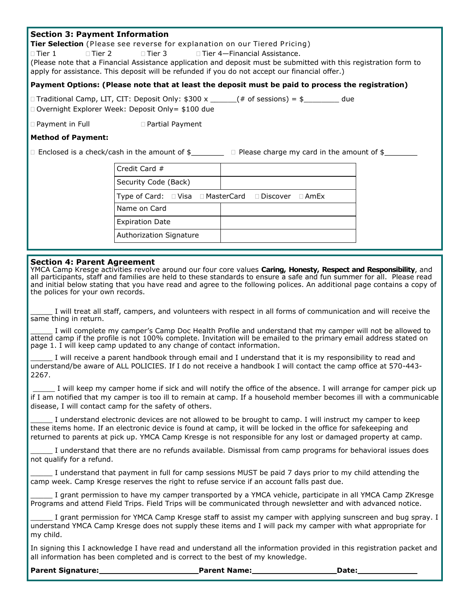## **Section 3: Payment Information**

**Tier Selection** (Please see reverse for explanation on our Tiered Pricing)

 $\Box$  Tier 1  $\Box$  Tier 2  $\Box$  Tier 3  $\Box$  Tier 4—Financial Assistance. (Please note that a Financial Assistance application and deposit must be submitted with this registration form to apply for assistance. This deposit will be refunded if you do not accept our financial offer.)

#### **Payment Options: (Please note that at least the deposit must be paid to process the registration)**

 $\Box$  Traditional Camp, LIT, CIT: Deposit Only: \$300 x \_\_\_\_\_\_(# of sessions) = \$\_\_\_\_\_\_\_\_\_ due □ Overnight Explorer Week: Deposit Only= \$100 due

□ Payment in Full Deartial Payment

#### **Method of Payment:**

 $\Box$  Enclosed is a check/cash in the amount of  $\frac{1}{2}$   $\Box$  Please charge my card in the amount of  $\frac{1}{2}$ 

| Credit Card $#$         |                                                     |
|-------------------------|-----------------------------------------------------|
| Security Code (Back)    |                                                     |
|                         | Type of Card: □ Visa □ MasterCard □ Discover □ AmEx |
| Name on Card            |                                                     |
| <b>Expiration Date</b>  |                                                     |
| Authorization Signature |                                                     |

### **Section 4: Parent Agreement**

YMCA Camp Kresge activities revolve around our four core values **Caring, Honesty, Respect and Responsibility**, and all participants, staff and families are held to these standards to ensure a safe and fun summer for all. Please read and initial below stating that you have read and agree to the following polices. An additional page contains a copy of the polices for your own records.

I will treat all staff, campers, and volunteers with respect in all forms of communication and will receive the same thing in return.

I will complete my camper's Camp Doc Health Profile and understand that my camper will not be allowed to attend camp if the profile is not 100% complete. Invitation will be emailed to the primary email address stated on page 1. I will keep camp updated to any change of contact information.

I will receive a parent handbook through email and I understand that it is my responsibility to read and understand/be aware of ALL POLICIES. If I do not receive a handbook I will contact the camp office at 570-443- 2267.

I will keep my camper home if sick and will notify the office of the absence. I will arrange for camper pick up if I am notified that my camper is too ill to remain at camp. If a household member becomes ill with a communicable disease, I will contact camp for the safety of others.

I understand electronic devices are not allowed to be brought to camp. I will instruct my camper to keep these items home. If an electronic device is found at camp, it will be locked in the office for safekeeping and returned to parents at pick up. YMCA Camp Kresge is not responsible for any lost or damaged property at camp.

I understand that there are no refunds available. Dismissal from camp programs for behavioral issues does not qualify for a refund.

I understand that payment in full for camp sessions MUST be paid 7 days prior to my child attending the camp week. Camp Kresge reserves the right to refuse service if an account falls past due.

I grant permission to have my camper transported by a YMCA vehicle, participate in all YMCA Camp ZKresge Programs and attend Field Trips. Field Trips will be communicated through newsletter and with advanced notice.

I grant permission for YMCA Camp Kresge staff to assist my camper with applying sunscreen and bug spray. I understand YMCA Camp Kresge does not supply these items and I will pack my camper with what appropriate for my child.

In signing this I acknowledge I have read and understand all the information provided in this registration packet and all information has been completed and is correct to the best of my knowledge.

**Parent Signature: Parent Name: Parent Name: Date: Date:**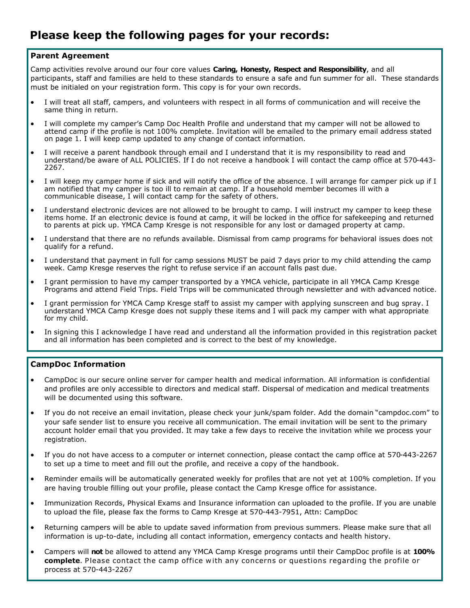### **Parent Agreement**

Camp activities revolve around our four core values **Caring, Honesty, Respect and Responsibility**, and all participants, staff and families are held to these standards to ensure a safe and fun summer for all. These standards must be initialed on your registration form. This copy is for your own records.

- I will treat all staff, campers, and volunteers with respect in all forms of communication and will receive the same thing in return.
- I will complete my camper's Camp Doc Health Profile and understand that my camper will not be allowed to attend camp if the profile is not 100% complete. Invitation will be emailed to the primary email address stated on page 1. I will keep camp updated to any change of contact information.
- I will receive a parent handbook through email and I understand that it is my responsibility to read and understand/be aware of ALL POLICIES. If I do not receive a handbook I will contact the camp office at 570-443- 2267.
- I will keep my camper home if sick and will notify the office of the absence. I will arrange for camper pick up if I am notified that my camper is too ill to remain at camp. If a household member becomes ill with a communicable disease, I will contact camp for the safety of others.
- I understand electronic devices are not allowed to be brought to camp. I will instruct my camper to keep these items home. If an electronic device is found at camp, it will be locked in the office for safekeeping and returned to parents at pick up. YMCA Camp Kresge is not responsible for any lost or damaged property at camp.
- I understand that there are no refunds available. Dismissal from camp programs for behavioral issues does not qualify for a refund.
- I understand that payment in full for camp sessions MUST be paid 7 days prior to my child attending the camp week. Camp Kresge reserves the right to refuse service if an account falls past due.
- I grant permission to have my camper transported by a YMCA vehicle, participate in all YMCA Camp Kresge Programs and attend Field Trips. Field Trips will be communicated through newsletter and with advanced notice.
- I grant permission for YMCA Camp Kresge staff to assist my camper with applying sunscreen and bug spray. I understand YMCA Camp Kresge does not supply these items and I will pack my camper with what appropriate for my child.
- In signing this I acknowledge I have read and understand all the information provided in this registration packet and all information has been completed and is correct to the best of my knowledge.

### **CampDoc Information**

- CampDoc is our secure online server for camper health and medical information. All information is confidential and profiles are only accessible to directors and medical staff. Dispersal of medication and medical treatments will be documented using this software.
- If you do not receive an email invitation, please check your junk/spam folder. Add the domain "campdoc.com" to your safe sender list to ensure you receive all communication. The email invitation will be sent to the primary account holder email that you provided. It may take a few days to receive the invitation while we process your registration.
- If you do not have access to a computer or internet connection, please contact the camp office at 570-443-2267 to set up a time to meet and fill out the profile, and receive a copy of the handbook.
- Reminder emails will be automatically generated weekly for profiles that are not yet at 100% completion. If you are having trouble filling out your profile, please contact the Camp Kresge office for assistance.
- Immunization Records, Physical Exams and Insurance information can uploaded to the profile. If you are unable to upload the file, please fax the forms to Camp Kresge at 570-443-7951, Attn: CampDoc
- Returning campers will be able to update saved information from previous summers. Please make sure that all information is up-to-date, including all contact information, emergency contacts and health history.
- Campers will **not** be allowed to attend any YMCA Camp Kresge programs until their CampDoc profile is at **100% complete**. Please contact the camp office w ith any concerns or questions regarding the profile or process at 570-443-2267